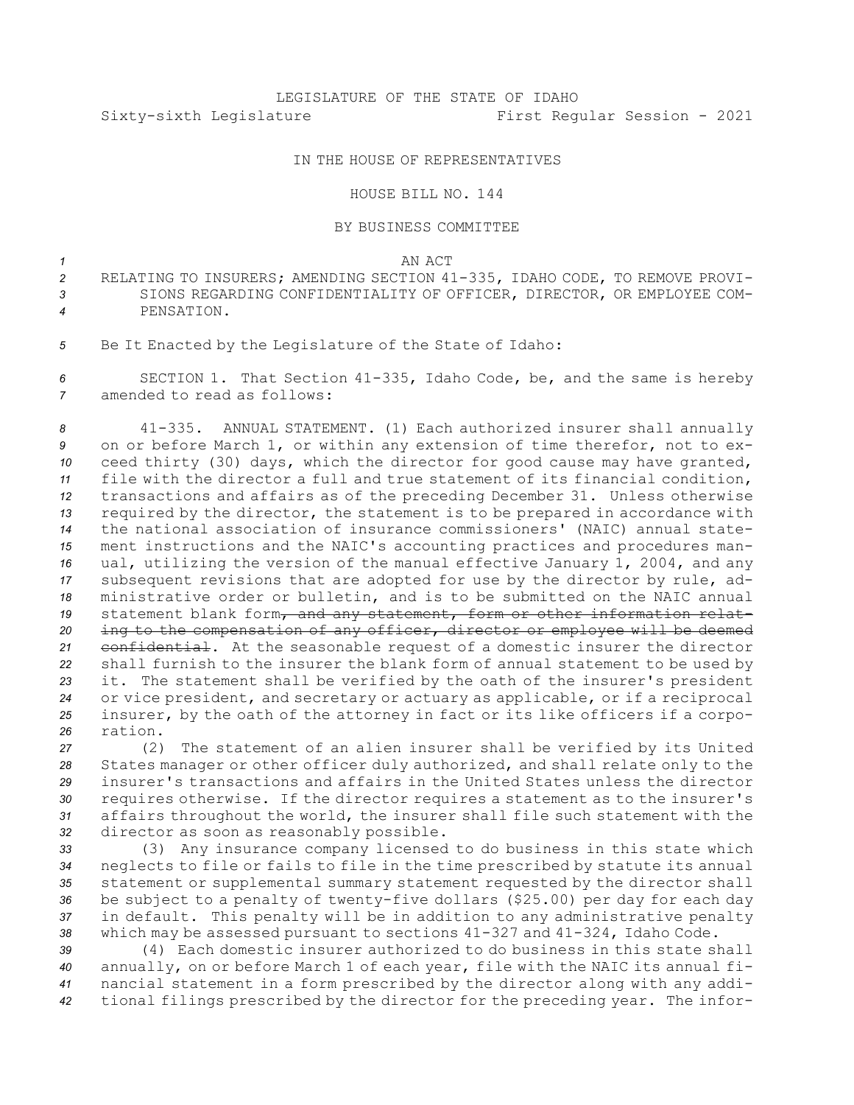## IN THE HOUSE OF REPRESENTATIVES

## HOUSE BILL NO. 144

## BY BUSINESS COMMITTEE

*1* AN ACT

- *<sup>2</sup>* RELATING TO INSURERS; AMENDING SECTION 41-335, IDAHO CODE, TO REMOVE PROVI-*3* SIONS REGARDING CONFIDENTIALITY OF OFFICER, DIRECTOR, OR EMPLOYEE COM-*4* PENSATION.
- *<sup>5</sup>* Be It Enacted by the Legislature of the State of Idaho:

*<sup>6</sup>* SECTION 1. That Section 41-335, Idaho Code, be, and the same is hereby *7* amended to read as follows:

 41-335. ANNUAL STATEMENT. (1) Each authorized insurer shall annually on or before March 1, or within any extension of time therefor, not to ex- ceed thirty (30) days, which the director for good cause may have granted, file with the director <sup>a</sup> full and true statement of its financial condition, transactions and affairs as of the preceding December 31. Unless otherwise required by the director, the statement is to be prepared in accordance with the national association of insurance commissioners' (NAIC) annual state- ment instructions and the NAIC's accounting practices and procedures man- ual, utilizing the version of the manual effective January 1, 2004, and any subsequent revisions that are adopted for use by the director by rule, ad- ministrative order or bulletin, and is to be submitted on the NAIC annual 19 statement blank form, and any statement, form or other information relat- ing to the compensation of any officer, director or employee will be deemed confidential. At the seasonable request of <sup>a</sup> domestic insurer the director shall furnish to the insurer the blank form of annual statement to be used by it. The statement shall be verified by the oath of the insurer's president or vice president, and secretary or actuary as applicable, or if <sup>a</sup> reciprocal insurer, by the oath of the attorney in fact or its like officers if <sup>a</sup> corpo-*26* ration.

 (2) The statement of an alien insurer shall be verified by its United States manager or other officer duly authorized, and shall relate only to the insurer's transactions and affairs in the United States unless the director requires otherwise. If the director requires <sup>a</sup> statement as to the insurer's affairs throughout the world, the insurer shall file such statement with the director as soon as reasonably possible.

 (3) Any insurance company licensed to do business in this state which neglects to file or fails to file in the time prescribed by statute its annual statement or supplemental summary statement requested by the director shall be subject to <sup>a</sup> penalty of twenty-five dollars (\$25.00) per day for each day in default. This penalty will be in addition to any administrative penalty which may be assessed pursuant to sections 41-327 and 41-324, Idaho Code.

 (4) Each domestic insurer authorized to do business in this state shall annually, on or before March 1 of each year, file with the NAIC its annual fi- nancial statement in <sup>a</sup> form prescribed by the director along with any addi-tional filings prescribed by the director for the preceding year. The infor-